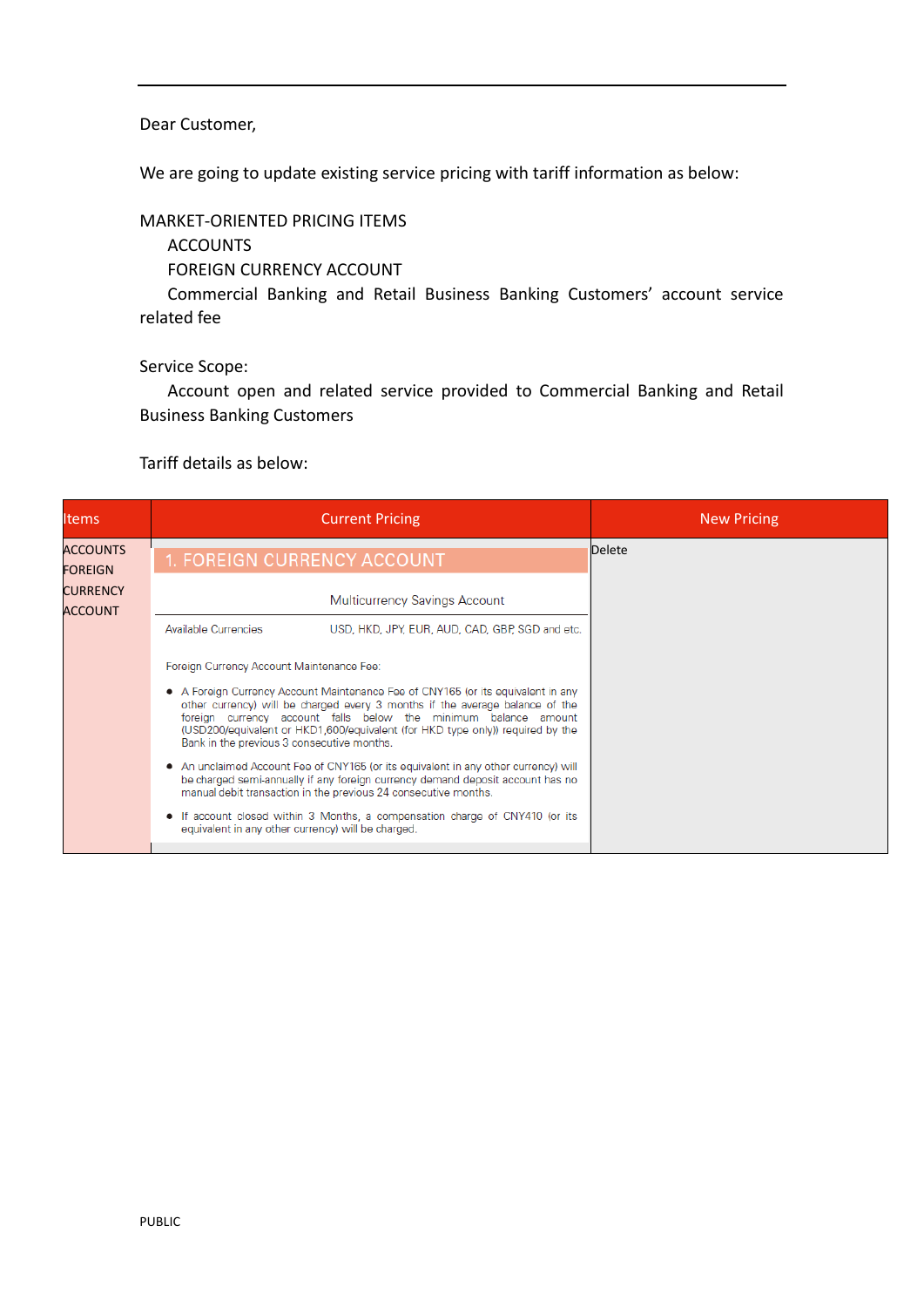## Dear Customer,

We are going to update existing service pricing with tariff information as below:

MARKET-ORIENTED PRICING ITEMS

ACCOUNTS

FOREIGN CURRENCY ACCOUNT

Commercial Banking and Retail Business Banking Customers' account service related fee

Service Scope:

Account open and related service provided to Commercial Banking and Retail Business Banking Customers

Tariff details as below:

| ltems                             | <b>Current Pricing</b>                                                                                                                                                                                                                                                                                                                                              | <b>New Pricing</b> |
|-----------------------------------|---------------------------------------------------------------------------------------------------------------------------------------------------------------------------------------------------------------------------------------------------------------------------------------------------------------------------------------------------------------------|--------------------|
| <b>ACCOUNTS</b><br><b>FOREIGN</b> | 1. FOREIGN CURRENCY ACCOUNT                                                                                                                                                                                                                                                                                                                                         | Delete             |
| <b>CURRENCY</b><br><b>ACCOUNT</b> | Multicurrency Savings Account                                                                                                                                                                                                                                                                                                                                       |                    |
|                                   | Available Currencies<br>USD, HKD, JPY, EUR, AUD, CAD, GBP, SGD and etc.                                                                                                                                                                                                                                                                                             |                    |
|                                   | Foreign Currency Account Maintenance Fee:                                                                                                                                                                                                                                                                                                                           |                    |
|                                   | • A Foreign Currency Account Maintenance Fee of CNY165 (or its equivalent in any<br>other currency) will be charged every 3 months if the average balance of the<br>foreign currency account falls below the minimum balance amount<br>(USD200/equivalent or HKD1,600/equivalent (for HKD type only)) required by the<br>Bank in the previous 3 consecutive months. |                    |
|                                   | • An unclaimed Account Fee of CNY165 (or its equivalent in any other currency) will<br>be charged semi-annually if any foreign currency demand deposit account has no<br>manual debit transaction in the previous 24 consecutive months.                                                                                                                            |                    |
|                                   | • If account closed within 3 Months, a compensation charge of CNY410 (or its<br>equivalent in any other currency) will be charged.                                                                                                                                                                                                                                  |                    |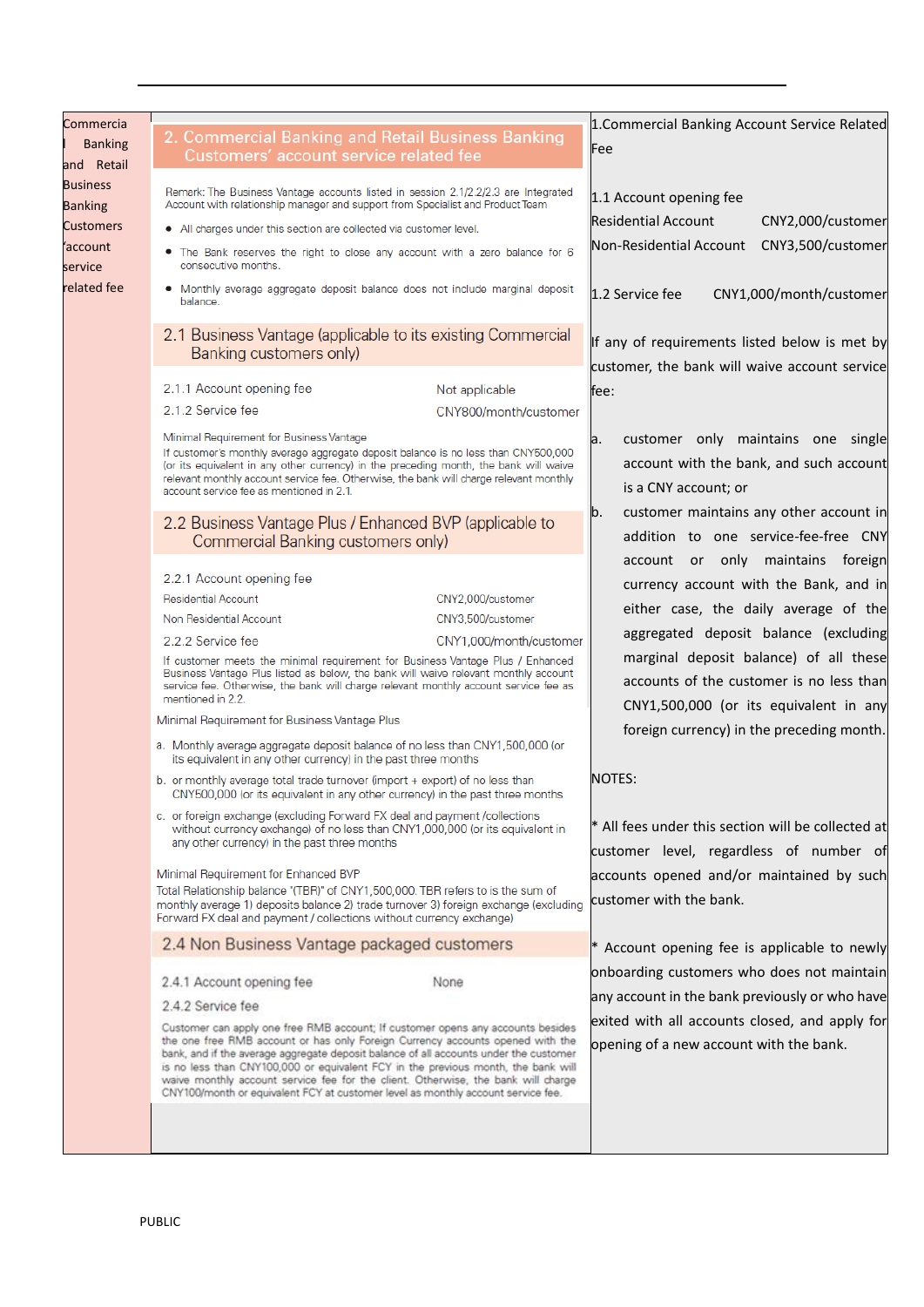| Commercia           |                                                                                                                                                                                                                                                                                                                                                                                                                                       |                         | 1. Commercial Banking Account Service Related      |
|---------------------|---------------------------------------------------------------------------------------------------------------------------------------------------------------------------------------------------------------------------------------------------------------------------------------------------------------------------------------------------------------------------------------------------------------------------------------|-------------------------|----------------------------------------------------|
| <b>Banking</b>      | 2. Commercial Banking and Retail Business Banking                                                                                                                                                                                                                                                                                                                                                                                     |                         | Fee                                                |
| and Retail          | Customers' account service related fee                                                                                                                                                                                                                                                                                                                                                                                                |                         |                                                    |
| <b>Business</b>     | Remark: The Business Vantage accounts listed in session 2.1/2.2/2.3 are Integrated                                                                                                                                                                                                                                                                                                                                                    |                         | 1.1 Account opening fee                            |
| <b>Banking</b>      | Account with relationship manager and support from Specialist and Product Team                                                                                                                                                                                                                                                                                                                                                        |                         | <b>Residential Account</b>                         |
| <b>Customers</b>    | • All charges under this section are collected via customer level.                                                                                                                                                                                                                                                                                                                                                                    |                         | CNY2,000/customer                                  |
| 'account<br>service | The Bank reserves the right to close any account with a zero balance for 6<br>consecutive months.                                                                                                                                                                                                                                                                                                                                     |                         | Non-Residential Account<br>CNY3,500/customer       |
| related fee         | • Monthly average aggregate deposit balance does not include marginal deposit<br>balance.                                                                                                                                                                                                                                                                                                                                             |                         | 1.2 Service fee<br>CNY1,000/month/customer         |
|                     | 2.1 Business Vantage (applicable to its existing Commercial<br>Banking customers only)                                                                                                                                                                                                                                                                                                                                                |                         | If any of requirements listed below is met by      |
|                     |                                                                                                                                                                                                                                                                                                                                                                                                                                       |                         | customer, the bank will waive account service      |
|                     | 2.1.1 Account opening fee                                                                                                                                                                                                                                                                                                                                                                                                             | Not applicable          | fee:                                               |
|                     | 2.1.2 Service fee                                                                                                                                                                                                                                                                                                                                                                                                                     | CNY800/month/customer   |                                                    |
|                     | Minimal Requirement for Business Vantage                                                                                                                                                                                                                                                                                                                                                                                              |                         | customer only maintains one single<br>a.           |
|                     | If customer's monthly average aggregate deposit balance is no less than CNY500,000<br>(or its equivalent in any other currency) in the preceding month, the bank will waive                                                                                                                                                                                                                                                           |                         | account with the bank, and such account            |
|                     | relevant monthly account service fee. Otherwise, the bank will charge relevant monthly                                                                                                                                                                                                                                                                                                                                                |                         |                                                    |
|                     | account service fee as mentioned in 2.1.                                                                                                                                                                                                                                                                                                                                                                                              |                         | is a CNY account; or                               |
|                     | 2.2 Business Vantage Plus / Enhanced BVP (applicable to                                                                                                                                                                                                                                                                                                                                                                               |                         | customer maintains any other account in<br>b.      |
|                     | Commercial Banking customers only)                                                                                                                                                                                                                                                                                                                                                                                                    |                         | addition to one service-fee-free CNY               |
|                     |                                                                                                                                                                                                                                                                                                                                                                                                                                       |                         | account or only maintains foreign                  |
|                     | 2.2.1 Account opening fee                                                                                                                                                                                                                                                                                                                                                                                                             |                         | currency account with the Bank, and in             |
|                     | <b>Residential Account</b>                                                                                                                                                                                                                                                                                                                                                                                                            | CNY2,000/customer       | either case, the daily average of the              |
|                     | Non Residential Account                                                                                                                                                                                                                                                                                                                                                                                                               | CNY3,500/customer       | aggregated deposit balance (excluding              |
|                     | 2.2.2 Service fee                                                                                                                                                                                                                                                                                                                                                                                                                     | CNY1,000/month/customer | marginal deposit balance) of all these             |
|                     | If customer meets the minimal requirement for Business Vantage Plus / Enhanced<br>Business Vantage Plus listed as below, the bank will waive relevant monthly account<br>service fee. Otherwise, the bank will charge relevant monthly account service fee as                                                                                                                                                                         |                         | accounts of the customer is no less than           |
|                     | mentioned in 2.2.                                                                                                                                                                                                                                                                                                                                                                                                                     |                         | CNY1,500,000 (or its equivalent in any             |
|                     | Minimal Requirement for Business Vantage Plus                                                                                                                                                                                                                                                                                                                                                                                         |                         | foreign currency) in the preceding month.          |
|                     | a. Monthly average aggregate deposit balance of no less than CNY1,500,000 (or<br>its equivalent in any other currency) in the past three months                                                                                                                                                                                                                                                                                       |                         |                                                    |
|                     | b. or monthly average total trade turnover (import + export) of no less than<br>CNY500,000 (or its equivalent in any other currency) in the past three months                                                                                                                                                                                                                                                                         |                         | <b>NOTES:</b>                                      |
|                     | c. or foreign exchange (excluding Forward FX deal and payment /collections                                                                                                                                                                                                                                                                                                                                                            |                         | * All fees under this section will be collected at |
|                     | without currency exchange) of no less than CNY1,000,000 (or its equivalent in<br>any other currency) in the past three months                                                                                                                                                                                                                                                                                                         |                         | customer level, regardless of number of            |
|                     | Minimal Requirement for Enhanced BVP                                                                                                                                                                                                                                                                                                                                                                                                  |                         | accounts opened and/or maintained by such          |
|                     | Total Relationship balance "(TBR)" of CNY1,500,000. TBR refers to is the sum of<br>monthly average 1) deposits balance 2) trade turnover 3) foreign exchange (excluding<br>Forward FX deal and payment / collections without currency exchange)                                                                                                                                                                                       |                         | customer with the bank.                            |
|                     | 2.4 Non Business Vantage packaged customers                                                                                                                                                                                                                                                                                                                                                                                           |                         | * Account opening fee is applicable to newly       |
|                     | 2.4.1 Account opening fee                                                                                                                                                                                                                                                                                                                                                                                                             | None                    | onboarding customers who does not maintain         |
|                     | 2.4.2 Service fee                                                                                                                                                                                                                                                                                                                                                                                                                     |                         | any account in the bank previously or who have     |
|                     | Customer can apply one free RMB account; If customer opens any accounts besides                                                                                                                                                                                                                                                                                                                                                       |                         | exited with all accounts closed, and apply for     |
|                     | the one free RMB account or has only Foreign Currency accounts opened with the<br>bank, and if the average aggregate deposit balance of all accounts under the customer<br>is no less than CNY100,000 or equivalent FCY in the previous month, the bank will<br>waive monthly account service fee for the client. Otherwise, the bank will charge<br>CNY100/month or equivalent FCY at customer level as monthly account service fee. |                         | opening of a new account with the bank.            |
|                     |                                                                                                                                                                                                                                                                                                                                                                                                                                       |                         |                                                    |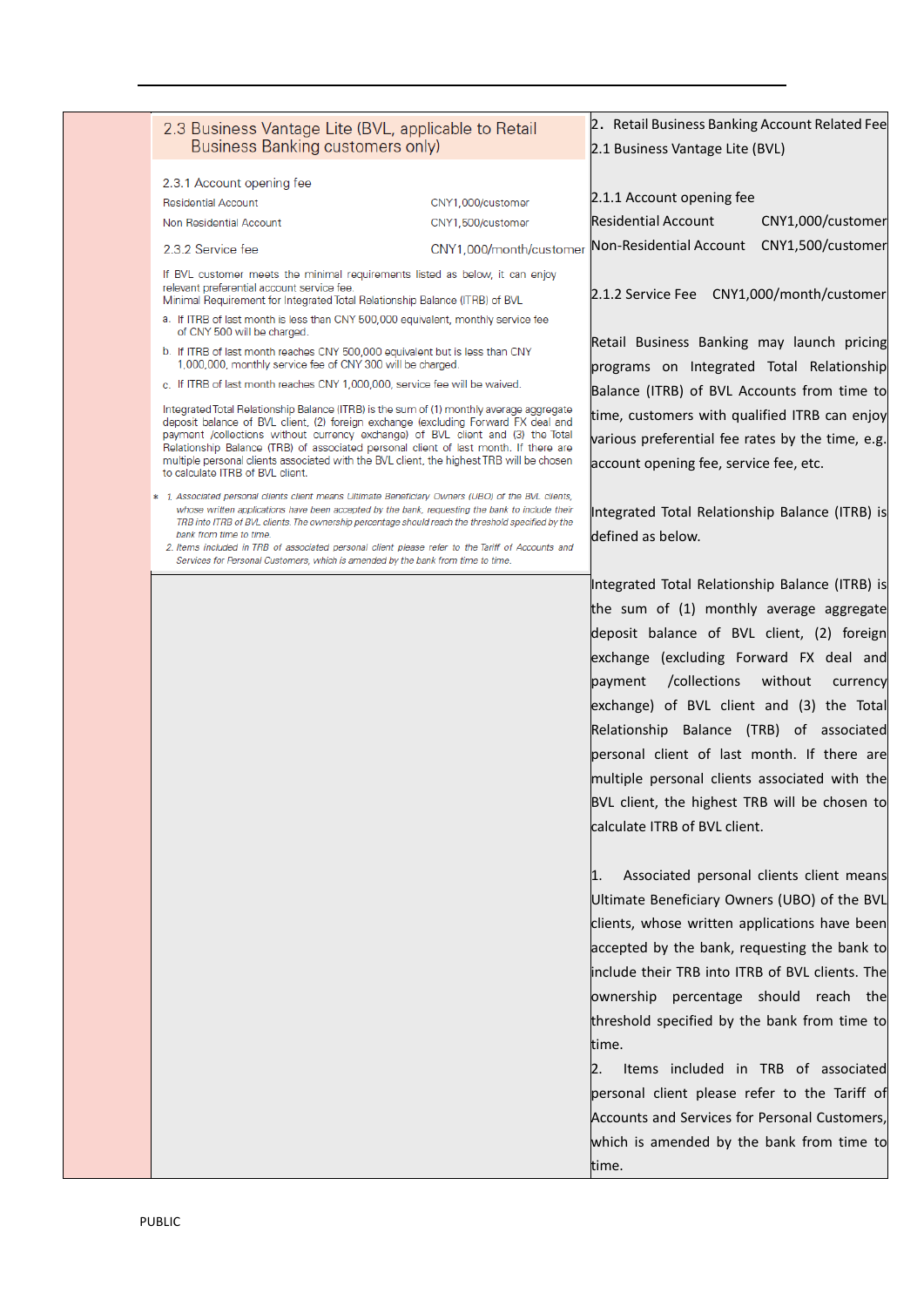| 2.3 Business Vantage Lite (BVL, applicable to Retail<br><b>Business Banking customers only)</b>                                                                                                                                                                                                              |                         | 2. Retail Business Banking Account Related Fee<br>2.1 Business Vantage Lite (BVL) |
|--------------------------------------------------------------------------------------------------------------------------------------------------------------------------------------------------------------------------------------------------------------------------------------------------------------|-------------------------|-----------------------------------------------------------------------------------|
| 2.3.1 Account opening fee                                                                                                                                                                                                                                                                                    |                         |                                                                                   |
| <b>Residential Account</b>                                                                                                                                                                                                                                                                                   | CNY1,000/customer       | 2.1.1 Account opening fee                                                         |
| Non Residential Account                                                                                                                                                                                                                                                                                      | CNY1,500/customer       | <b>Residential Account</b><br>CNY1,000/customer                                   |
| 2.3.2 Service fee                                                                                                                                                                                                                                                                                            | CNY1,000/month/customer | Non-Residential Account<br>CNY1,500/customer                                      |
| If BVL customer meets the minimal requirements listed as below, it can enjoy<br>relevant preferential account service fee.<br>Minimal Requirement for Integrated Total Relationship Balance (ITRB) of BVL                                                                                                    |                         | 2.1.2 Service Fee CNY1,000/month/customer                                         |
| a. If ITRB of last month is less than CNY 500,000 equivalent, monthly service fee<br>of CNY 500 will be charged.                                                                                                                                                                                             |                         |                                                                                   |
| b. If ITRB of last month reaches CNY 500,000 equivalent but is less than CNY                                                                                                                                                                                                                                 |                         | Retail Business Banking may launch pricing                                        |
| 1,000,000, monthly service fee of CNY 300 will be charged.                                                                                                                                                                                                                                                   |                         | programs on Integrated Total Relationship                                         |
| c. If ITRB of last month reaches CNY 1,000,000, service fee will be waived.                                                                                                                                                                                                                                  |                         | Balance (ITRB) of BVL Accounts from time to                                       |
| Integrated Total Relationship Balance (ITRB) is the sum of (1) monthly average aggregate<br>deposit balance of BVL client, (2) foreign exchange (excluding Forward FX deal and                                                                                                                               |                         | time, customers with qualified ITRB can enjoy                                     |
| payment /collections without currency exchange) of BVL client and (3) the Total<br>Relationship Balance (TRB) of associated personal client of last month. If there are                                                                                                                                      |                         | various preferential fee rates by the time, e.g.                                  |
| multiple personal clients associated with the BVL client, the highest TRB will be chosen<br>to calculate ITRB of BVL client.                                                                                                                                                                                 |                         | account opening fee, service fee, etc.                                            |
| * 1. Associated personal clients client means Ultimate Beneficiary Owners (UBO) of the BVL clients,<br>whose written applications have been accepted by the bank, requesting the bank to include their<br>TRB into ITRB of BVL clients. The ownership percentage should reach the threshold specified by the |                         | Integrated Total Relationship Balance (ITRB) is                                   |
| bank from time to time.<br>2. Items included in TRB of associated personal client please refer to the Tariff of Accounts and                                                                                                                                                                                 |                         | defined as below.                                                                 |
| Services for Personal Customers, which is amended by the bank from time to time.                                                                                                                                                                                                                             |                         |                                                                                   |
|                                                                                                                                                                                                                                                                                                              |                         | Integrated Total Relationship Balance (ITRB) is                                   |
|                                                                                                                                                                                                                                                                                                              |                         | the sum of (1) monthly average aggregate                                          |
|                                                                                                                                                                                                                                                                                                              |                         | deposit balance of BVL client, (2) foreign                                        |
|                                                                                                                                                                                                                                                                                                              |                         | exchange (excluding Forward FX deal and                                           |
|                                                                                                                                                                                                                                                                                                              |                         | /collections<br>without<br>payment<br>currency                                    |
|                                                                                                                                                                                                                                                                                                              |                         | exchange) of BVL client and (3) the Total                                         |
|                                                                                                                                                                                                                                                                                                              |                         | Relationship Balance (TRB) of associated                                          |
|                                                                                                                                                                                                                                                                                                              |                         | personal client of last month. If there are                                       |
|                                                                                                                                                                                                                                                                                                              |                         | multiple personal clients associated with the                                     |
|                                                                                                                                                                                                                                                                                                              |                         | BVL client, the highest TRB will be chosen to                                     |
|                                                                                                                                                                                                                                                                                                              |                         | calculate ITRB of BVL client.                                                     |
|                                                                                                                                                                                                                                                                                                              |                         |                                                                                   |
|                                                                                                                                                                                                                                                                                                              |                         | Associated personal clients client means<br>1.                                    |
|                                                                                                                                                                                                                                                                                                              |                         | Ultimate Beneficiary Owners (UBO) of the BVL                                      |
|                                                                                                                                                                                                                                                                                                              |                         | clients, whose written applications have been                                     |
|                                                                                                                                                                                                                                                                                                              |                         | accepted by the bank, requesting the bank to                                      |
|                                                                                                                                                                                                                                                                                                              |                         | include their TRB into ITRB of BVL clients. The                                   |
|                                                                                                                                                                                                                                                                                                              |                         | ownership percentage should reach the                                             |
|                                                                                                                                                                                                                                                                                                              |                         |                                                                                   |
|                                                                                                                                                                                                                                                                                                              |                         | threshold specified by the bank from time to                                      |
|                                                                                                                                                                                                                                                                                                              |                         | time.                                                                             |
|                                                                                                                                                                                                                                                                                                              |                         | Items included in TRB of associated<br>2.                                         |
|                                                                                                                                                                                                                                                                                                              |                         | personal client please refer to the Tariff of                                     |
|                                                                                                                                                                                                                                                                                                              |                         | Accounts and Services for Personal Customers,                                     |
|                                                                                                                                                                                                                                                                                                              |                         | which is amended by the bank from time to                                         |
|                                                                                                                                                                                                                                                                                                              |                         | time.                                                                             |